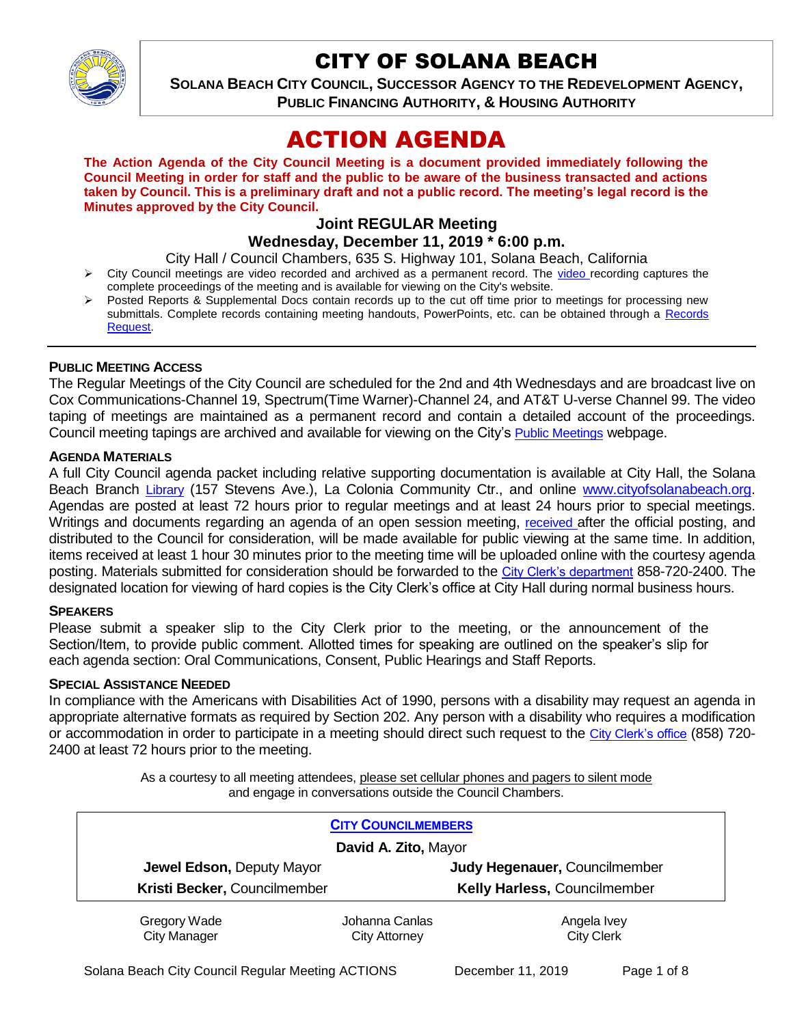

# CITY OF SOLANA BEACH

**SOLANA BEACH CITY COUNCIL, SUCCESSOR AGENCY TO THE REDEVELOPMENT AGENCY, PUBLIC FINANCING AUTHORITY, & HOUSING AUTHORITY** 

# ACTION AGENDA

**The Action Agenda of the City Council Meeting is a document provided immediately following the Council Meeting in order for staff and the public to be aware of the business transacted and actions taken by Council. This is a preliminary draft and not a public record. The meeting's legal record is the Minutes approved by the City Council.**

# **Joint REGULAR Meeting**

**Wednesday, December 11, 2019 \* 6:00 p.m.** 

City Hall / Council Chambers, 635 S. Highway 101, Solana Beach, California

- $\triangleright$  City Council meetings are [video r](https://solanabeach.12milesout.com/#page=1)ecorded and archived as a permanent record. The video recording captures the complete proceedings of the meeting and is available for viewing on the City's website.
- Posted Reports & Supplemental Docs contain records up to the cut off time prior to meetings for processing new submittals. Complete records containing meeting handouts, PowerPoints, etc. can be obtained through a Records [Request.](http://www.ci.solana-beach.ca.us/index.asp?SEC=F5D45D10-70CE-4291-A27C-7BD633FC6742&Type=B_BASIC)

#### **PUBLIC MEETING ACCESS**

The Regular Meetings of the City Council are scheduled for the 2nd and 4th Wednesdays and are broadcast live on Cox Communications-Channel 19, Spectrum(Time Warner)-Channel 24, and AT&T U-verse Channel 99. The video taping of meetings are maintained as a permanent record and contain a detailed account of the proceedings. Council meeting tapings are archived and available for viewing on the City's [Public Meetings](https://www.ci.solana-beach.ca.us/index.asp?SEC=F0F1200D-21C6-4A88-8AE1-0BC07C1A81A7&Type=B_BASIC) webpage.

#### **AGENDA MATERIALS**

A full City Council agenda packet including relative supporting documentation is available at City Hall, the Solana Beach Branch [Library](http://www.sdcl.org/locations_SB.html) (157 Stevens Ave.), La Colonia Community Ctr., and online [www.cityofsolanabeach.org.](http://www.cityofsolanabeach.org/) Agendas are posted at least 72 hours prior to regular meetings and at least 24 hours prior to special meetings. Writings and documents regarding an agenda of an open session meeting, [received](mailto:EMAILGRP-CityClerksOfc@cosb.org) after the official posting, and distributed to the Council for consideration, will be made available for public viewing at the same time. In addition, items received at least 1 hour 30 minutes prior to the meeting time will be uploaded online with the courtesy agenda posting. Materials submitted for consideration should be forwarded to the [City Clerk's department](mailto:EMAILGRP-CityClerksOfc@cosb.org) 858-720-2400. The designated location for viewing of hard copies is the City Clerk's office at City Hall during normal business hours.

#### **SPEAKERS**

Please submit a speaker slip to the City Clerk prior to the meeting, or the announcement of the Section/Item, to provide public comment. Allotted times for speaking are outlined on the speaker's slip for each agenda section: Oral Communications, Consent, Public Hearings and Staff Reports.

#### **SPECIAL ASSISTANCE NEEDED**

In compliance with the Americans with Disabilities Act of 1990, persons with a disability may request an agenda in appropriate alternative formats as required by Section 202. Any person with a disability who requires a modification or accommodation in order to participate in a meeting should direct such request to the [City Clerk's office](mailto:clerkadmin@cosb.org?subject=City%20Clerk%20Notice%20of%20Special%20Services%20Needed) (858) 720- 2400 at least 72 hours prior to the meeting.

> As a courtesy to all meeting attendees, please set cellular phones and pagers to silent mode and engage in conversations outside the Council Chambers.

| <b>CITY COUNCILMEMBERS</b>          |                                        |                                     |
|-------------------------------------|----------------------------------------|-------------------------------------|
| David A. Zito, Mayor                |                                        |                                     |
| Jewel Edson, Deputy Mayor           |                                        | Judy Hegenauer, Councilmember       |
| Kristi Becker, Councilmember        |                                        | <b>Kelly Harless, Councilmember</b> |
| Gregory Wade<br><b>City Manager</b> | Johanna Canlas<br><b>City Attorney</b> | Angela Ivey<br><b>City Clerk</b>    |

Solana Beach City Council Regular Meeting ACTIONS December 11, 2019 Page 1 of 8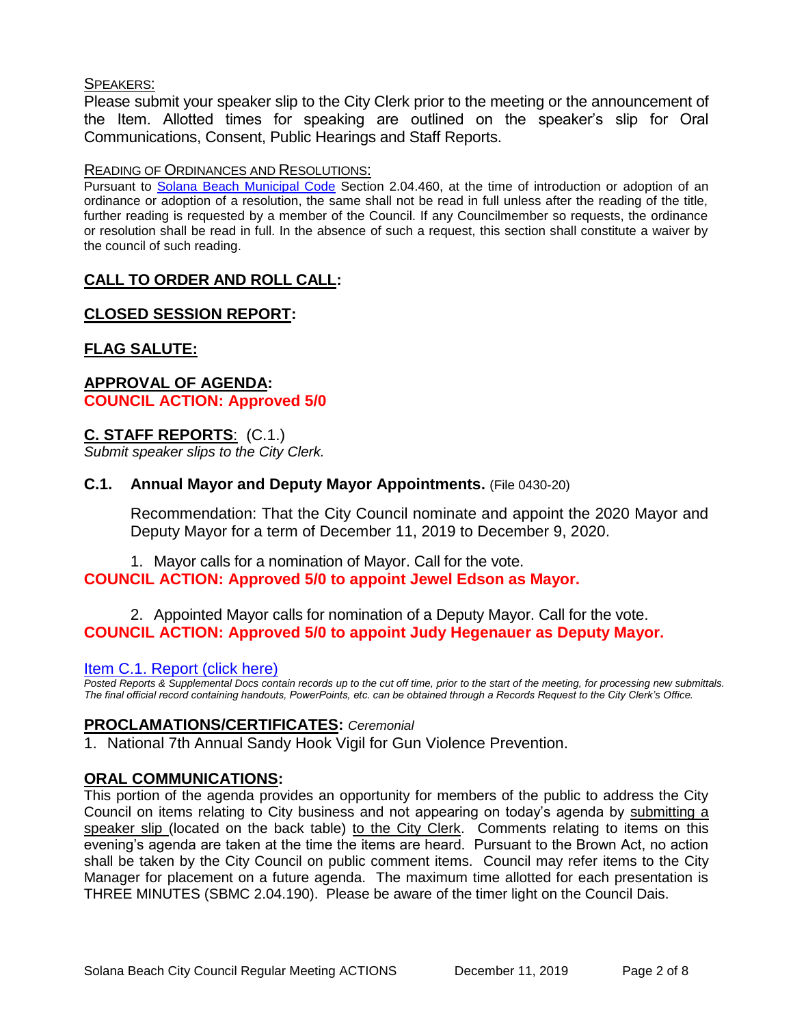#### SPEAKERS:

Please submit your speaker slip to the City Clerk prior to the meeting or the announcement of the Item. Allotted times for speaking are outlined on the speaker's slip for Oral Communications, Consent, Public Hearings and Staff Reports.

#### READING OF ORDINANCES AND RESOLUTIONS:

Pursuant to [Solana Beach Municipal Code](mailto:https://www.codepublishing.com/CA/SolanaBeach/) Section 2.04.460, at the time of introduction or adoption of an ordinance or adoption of a resolution, the same shall not be read in full unless after the reading of the title, further reading is requested by a member of the Council. If any Councilmember so requests, the ordinance or resolution shall be read in full. In the absence of such a request, this section shall constitute a waiver by the council of such reading.

# **CALL TO ORDER AND ROLL CALL:**

# **CLOSED SESSION REPORT:**

# **FLAG SALUTE:**

### **APPROVAL OF AGENDA: COUNCIL ACTION: Approved 5/0**

#### **C. STAFF REPORTS**: (C.1.)

*Submit speaker slips to the City Clerk.*

#### **C.1. Annual Mayor and Deputy Mayor Appointments.** (File 0430-20)

Recommendation: That the City Council nominate and appoint the 2020 Mayor and Deputy Mayor for a term of December 11, 2019 to December 9, 2020.

#### 1. Mayor calls for a nomination of Mayor. Call for the vote. **COUNCIL ACTION: Approved 5/0 to appoint Jewel Edson as Mayor.**

2. Appointed Mayor calls for nomination of a Deputy Mayor. Call for the vote. **COUNCIL ACTION: Approved 5/0 to appoint Judy Hegenauer as Deputy Mayor.** 

#### [Item C.1. Report \(click here\)](https://solanabeach.govoffice3.com/vertical/Sites/%7B840804C2-F869-4904-9AE3-720581350CE7%7D/uploads/Item_C.1._Report_(click_here)_12-11-19_-_O.pdf)

*Posted Reports & Supplemental Docs contain records up to the cut off time, prior to the start of the meeting, for processing new submittals. The final official record containing handouts, PowerPoints, etc. can be obtained through a Records Request to the City Clerk's Office.*

#### **PROCLAMATIONS/CERTIFICATES:** *Ceremonial*

1. National 7th Annual Sandy Hook Vigil for Gun Violence Prevention.

## **ORAL COMMUNICATIONS:**

This portion of the agenda provides an opportunity for members of the public to address the City Council on items relating to City business and not appearing on today's agenda by submitting a speaker slip (located on the back table) to the City Clerk. Comments relating to items on this evening's agenda are taken at the time the items are heard. Pursuant to the Brown Act, no action shall be taken by the City Council on public comment items. Council may refer items to the City Manager for placement on a future agenda. The maximum time allotted for each presentation is THREE MINUTES (SBMC 2.04.190). Please be aware of the timer light on the Council Dais.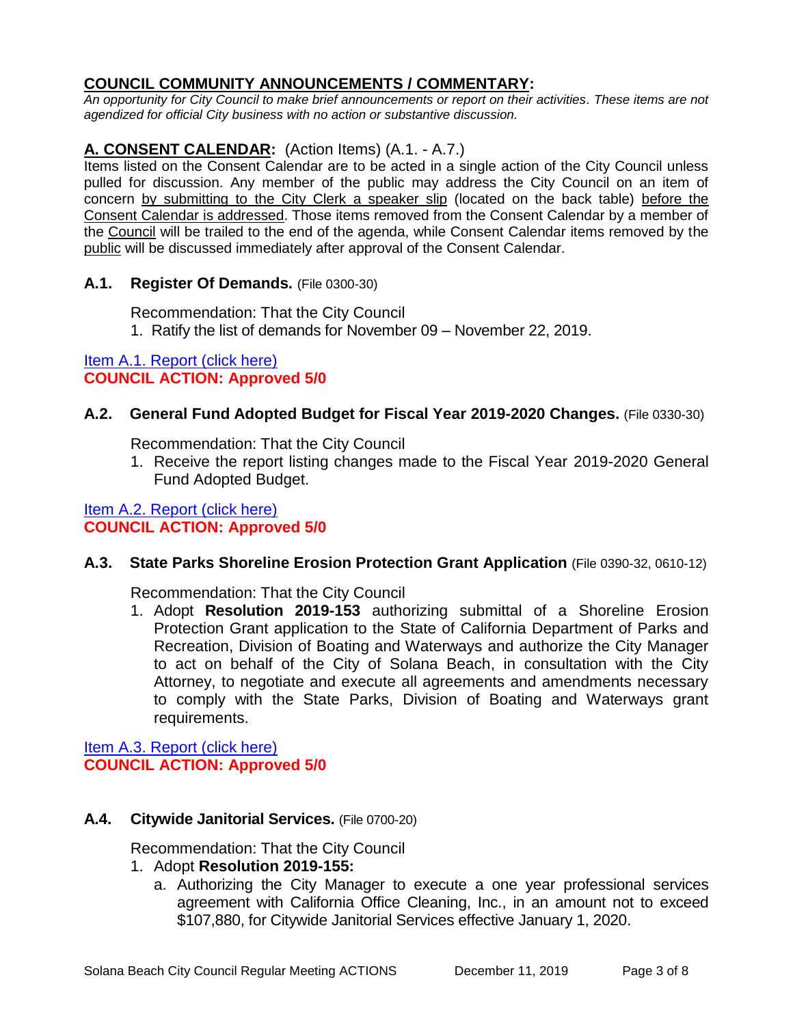# **COUNCIL COMMUNITY ANNOUNCEMENTS / COMMENTARY:**

*An opportunity for City Council to make brief announcements or report on their activities. These items are not agendized for official City business with no action or substantive discussion.* 

# **A. CONSENT CALENDAR:** (Action Items) (A.1. - A.7.)

Items listed on the Consent Calendar are to be acted in a single action of the City Council unless pulled for discussion. Any member of the public may address the City Council on an item of concern by submitting to the City Clerk a speaker slip (located on the back table) before the Consent Calendar is addressed. Those items removed from the Consent Calendar by a member of the Council will be trailed to the end of the agenda, while Consent Calendar items removed by the public will be discussed immediately after approval of the Consent Calendar.

#### **A.1. Register Of Demands.** (File 0300-30)

Recommendation: That the City Council

1. Ratify the list of demands for November 09 – November 22, 2019.

# [Item A.1. Report \(click here\)](https://solanabeach.govoffice3.com/vertical/Sites/%7B840804C2-F869-4904-9AE3-720581350CE7%7D/uploads/Item_A.1._Report_(click_here)_12-11-19_-_O.pdf)  **COUNCIL ACTION: Approved 5/0**

## **A.2. General Fund Adopted Budget for Fiscal Year 2019-2020 Changes.** (File 0330-30)

Recommendation: That the City Council

1. Receive the report listing changes made to the Fiscal Year 2019-2020 General Fund Adopted Budget.

# [Item A.2. Report \(click here\)](https://solanabeach.govoffice3.com/vertical/Sites/%7B840804C2-F869-4904-9AE3-720581350CE7%7D/uploads/Item_A.2._Report_(click_here)_12-11-19_-_O.pdf) **COUNCIL ACTION: Approved 5/0**

## **A.3. State Parks Shoreline Erosion Protection Grant Application** (File 0390-32, 0610-12)

Recommendation: That the City Council

1. Adopt **Resolution 2019-153** authorizing submittal of a Shoreline Erosion Protection Grant application to the State of California Department of Parks and Recreation, Division of Boating and Waterways and authorize the City Manager to act on behalf of the City of Solana Beach, in consultation with the City Attorney, to negotiate and execute all agreements and amendments necessary to comply with the State Parks, Division of Boating and Waterways grant requirements.

[Item A.3. Report \(click here\)](https://solanabeach.govoffice3.com/vertical/Sites/%7B840804C2-F869-4904-9AE3-720581350CE7%7D/uploads/Item_A.3._Report_(click_here)_12-11-19_-_O.pdf) **COUNCIL ACTION: Approved 5/0**

## **A.4. Citywide Janitorial Services.** (File 0700-20)

Recommendation: That the City Council

- 1. Adopt **Resolution 2019-155:**
	- a. Authorizing the City Manager to execute a one year professional services agreement with California Office Cleaning, Inc., in an amount not to exceed \$107,880, for Citywide Janitorial Services effective January 1, 2020.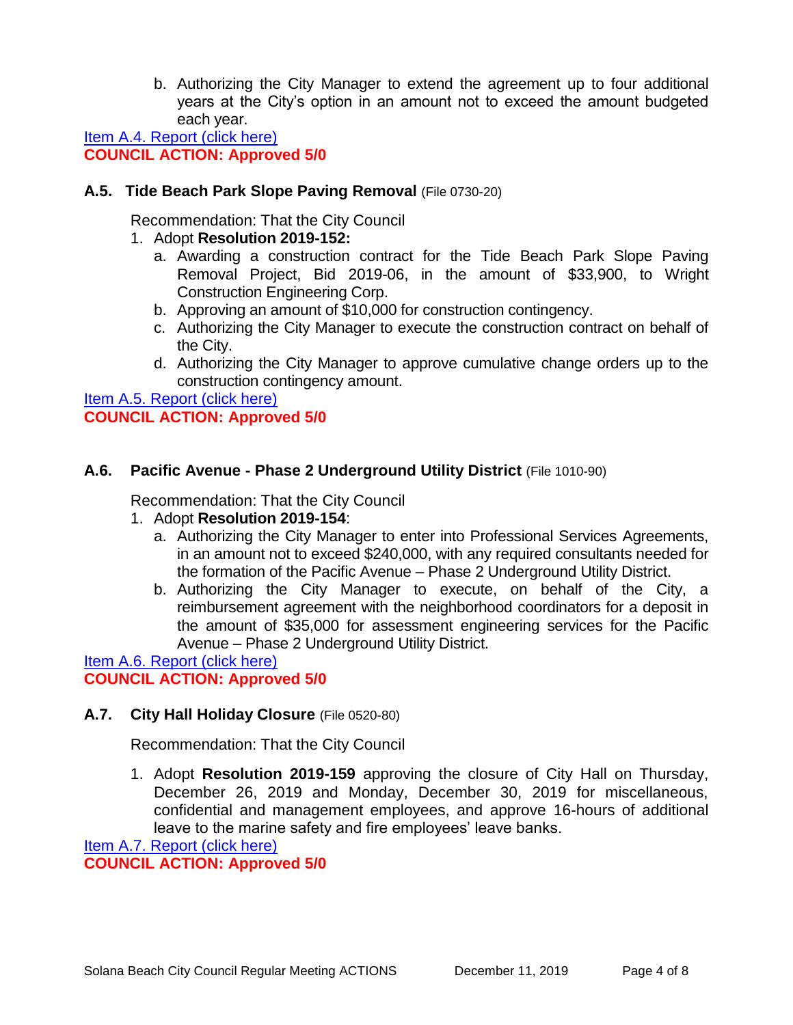b. Authorizing the City Manager to extend the agreement up to four additional years at the City's option in an amount not to exceed the amount budgeted each year.

[Item A.4. Report \(click here\)](https://solanabeach.govoffice3.com/vertical/Sites/%7B840804C2-F869-4904-9AE3-720581350CE7%7D/uploads/Item_A.4._Report_(click_here)_12-11-19_-_O.pdf) **COUNCIL ACTION: Approved 5/0**

### **A.5. Tide Beach Park Slope Paving Removal** (File 0730-20)

Recommendation: That the City Council

- 1. Adopt **Resolution 2019-152:**
	- a. Awarding a construction contract for the Tide Beach Park Slope Paving Removal Project, Bid 2019-06, in the amount of \$33,900, to Wright Construction Engineering Corp.
	- b. Approving an amount of \$10,000 for construction contingency.
	- c. Authorizing the City Manager to execute the construction contract on behalf of the City.
	- d. Authorizing the City Manager to approve cumulative change orders up to the construction contingency amount.

[Item A.5. Report \(click here\)](https://solanabeach.govoffice3.com/vertical/Sites/%7B840804C2-F869-4904-9AE3-720581350CE7%7D/uploads/Item_A.5._Report_(click_here)_12-11-19_-_O.pdf) **COUNCIL ACTION: Approved 5/0**

## **A.6. Pacific Avenue - Phase 2 Underground Utility District** (File 1010-90)

Recommendation: That the City Council

#### 1. Adopt **Resolution 2019-154**:

- a. Authorizing the City Manager to enter into Professional Services Agreements, in an amount not to exceed \$240,000, with any required consultants needed for the formation of the Pacific Avenue – Phase 2 Underground Utility District.
- b. Authorizing the City Manager to execute, on behalf of the City, a reimbursement agreement with the neighborhood coordinators for a deposit in the amount of \$35,000 for assessment engineering services for the Pacific Avenue – Phase 2 Underground Utility District.

[Item A.6. Report \(click here\)](https://solanabeach.govoffice3.com/vertical/Sites/%7B840804C2-F869-4904-9AE3-720581350CE7%7D/uploads/Item_A.6._Report_(click_here)_12-11-19_-_O.pdf) **COUNCIL ACTION: Approved 5/0**

## **A.7. City Hall Holiday Closure** (File 0520-80)

Recommendation: That the City Council

1. Adopt **Resolution 2019-159** approving the closure of City Hall on Thursday, December 26, 2019 and Monday, December 30, 2019 for miscellaneous, confidential and management employees, and approve 16-hours of additional leave to the marine safety and fire employees' leave banks.

[Item A.7. Report \(click here\)](https://solanabeach.govoffice3.com/vertical/Sites/%7B840804C2-F869-4904-9AE3-720581350CE7%7D/uploads/Item_A.7._Report_(click_here)_12-11-19_-_O.PDF)

**COUNCIL ACTION: Approved 5/0**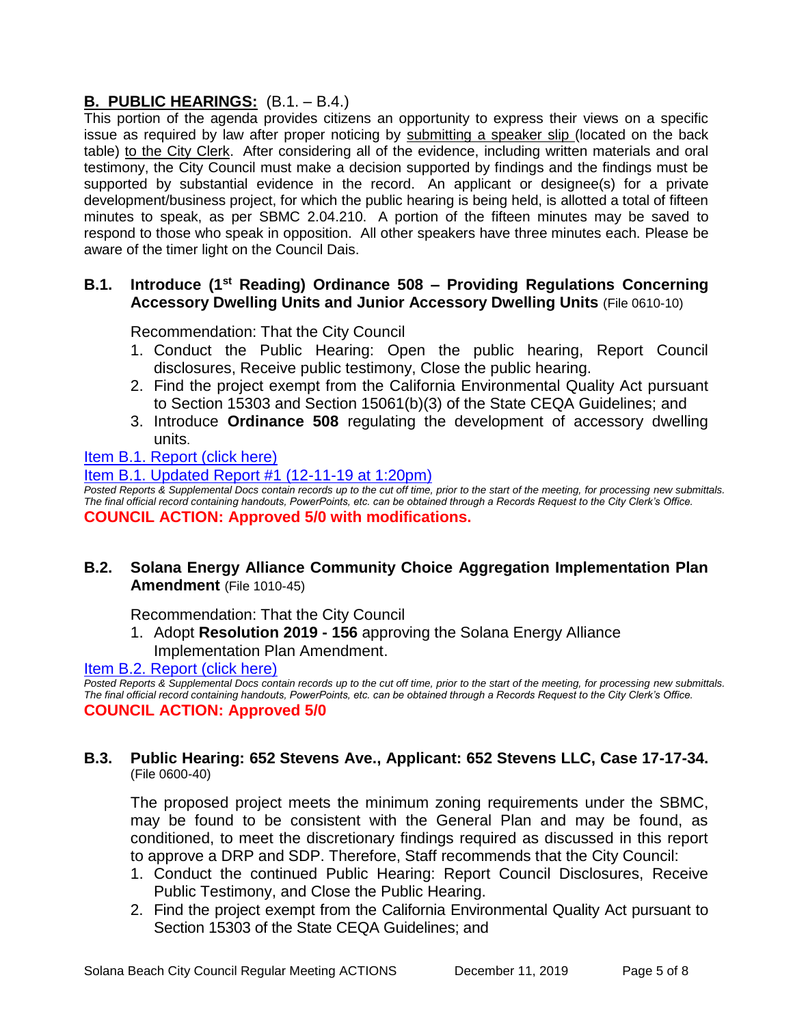# **B. PUBLIC HEARINGS:** (B.1. – B.4.)

This portion of the agenda provides citizens an opportunity to express their views on a specific issue as required by law after proper noticing by submitting a speaker slip (located on the back table) to the City Clerk. After considering all of the evidence, including written materials and oral testimony, the City Council must make a decision supported by findings and the findings must be supported by substantial evidence in the record. An applicant or designee(s) for a private development/business project, for which the public hearing is being held, is allotted a total of fifteen minutes to speak, as per SBMC 2.04.210. A portion of the fifteen minutes may be saved to respond to those who speak in opposition. All other speakers have three minutes each. Please be aware of the timer light on the Council Dais.

## **B.1. Introduce (1st Reading) Ordinance 508 – Providing Regulations Concerning Accessory Dwelling Units and Junior Accessory Dwelling Units** (File 0610-10)

Recommendation: That the City Council

- 1. Conduct the Public Hearing: Open the public hearing, Report Council disclosures, Receive public testimony, Close the public hearing.
- 2. Find the project exempt from the California Environmental Quality Act pursuant to Section 15303 and Section 15061(b)(3) of the State CEQA Guidelines; and
- 3. Introduce **Ordinance 508** regulating the development of accessory dwelling units.

## [Item B.1. Report \(click here\)](https://solanabeach.govoffice3.com/vertical/Sites/%7B840804C2-F869-4904-9AE3-720581350CE7%7D/uploads/Item_B.1._Report_(click_here)_12-11-19_-_O.pdf)

[Item B.1. Updated Report #1 \(12-11-19 at 1:20pm\)](https://solanabeach.govoffice3.com/vertical/Sites/%7B840804C2-F869-4904-9AE3-720581350CE7%7D/uploads/Item_B.1._Updated_Report_1.pdf)

*Posted Reports & Supplemental Docs contain records up to the cut off time, prior to the start of the meeting, for processing new submittals. The final official record containing handouts, PowerPoints, etc. can be obtained through a Records Request to the City Clerk's Office.* **COUNCIL ACTION: Approved 5/0 with modifications.**

# **B.2. Solana Energy Alliance Community Choice Aggregation Implementation Plan Amendment** (File 1010-45)

Recommendation: That the City Council

1. Adopt **Resolution 2019 - 156** approving the Solana Energy Alliance Implementation Plan Amendment[.](https://solanabeach.govoffice3.com/vertical/Sites/%7B840804C2-F869-4904-9AE3-720581350CE7%7D/uploads/Item_B.2._Report_(click_here)_12-11-19_-_O.pdf)

## [Item B.2. Report \(click here\)](https://solanabeach.govoffice3.com/vertical/Sites/%7B840804C2-F869-4904-9AE3-720581350CE7%7D/uploads/Item_B.2._Report_(click_here)_12-11-19_-_O.pdf)

*Posted Reports & Supplemental Docs contain records up to the cut off time, prior to the start of the meeting, for processing new submittals. The final official record containing handouts, PowerPoints, etc. can be obtained through a Records Request to the City Clerk's Office.* **COUNCIL ACTION: Approved 5/0**

#### **B.3. Public Hearing: 652 Stevens Ave., Applicant: 652 Stevens LLC, Case 17-17-34.** (File 0600-40)

The proposed project meets the minimum zoning requirements under the SBMC, may be found to be consistent with the General Plan and may be found, as conditioned, to meet the discretionary findings required as discussed in this report to approve a DRP and SDP. Therefore, Staff recommends that the City Council:

- 1. Conduct the continued Public Hearing: Report Council Disclosures, Receive Public Testimony, and Close the Public Hearing.
- 2. Find the project exempt from the California Environmental Quality Act pursuant to Section 15303 of the State CEQA Guidelines; and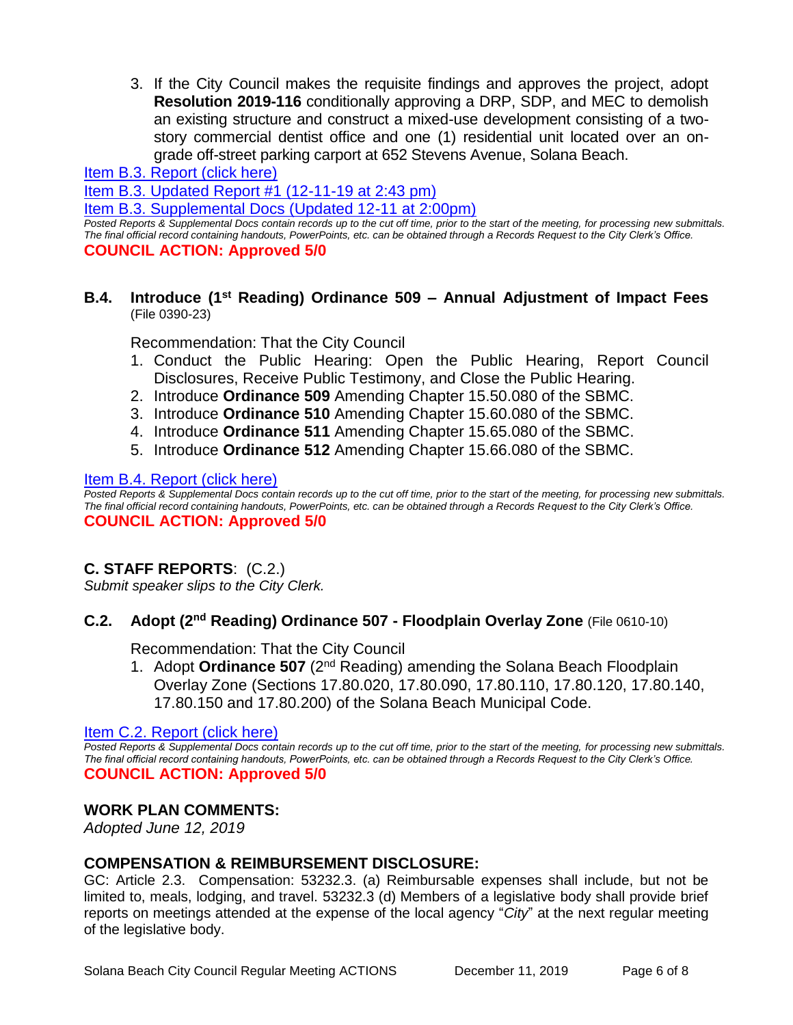3. If the City Council makes the requisite findings and approves the project, adopt **Resolution 2019-116** conditionally approving a DRP, SDP, and MEC to demolish an existing structure and construct a mixed-use development consisting of a twostory commercial dentist office and one (1) residential unit located over an ongrade off-street parking carport at 652 Stevens Avenue, Solana Beach.

[Item B.3. Report \(click here\)](https://solanabeach.govoffice3.com/vertical/Sites/%7B840804C2-F869-4904-9AE3-720581350CE7%7D/uploads/Item_B.3._Report_(click_here)_12-11-19_-_O.pdf)

[Item B.3. Updated Report #1 \(12-11-19 at 2:43](https://solanabeach.govoffice3.com/vertical/Sites/%7B840804C2-F869-4904-9AE3-720581350CE7%7D/uploads/Item_B.3._Staff_Report_Update_1_(12-11_236_pm)_-_O.pdf) pm)

[Item B.3. Supplemental Docs \(Updated 12-11](https://solanabeach.govoffice3.com/vertical/Sites/%7B840804C2-F869-4904-9AE3-720581350CE7%7D/uploads/Blue_Folder_B.3._(12-11_243pm).pdf) at 2:00pm)

*Posted Reports & Supplemental Docs contain records up to the cut off time, prior to the start of the meeting, for processing new submittals. The final official record containing handouts, PowerPoints, etc. can be obtained through a Records Request to the City Clerk's Office.* **COUNCIL ACTION: Approved 5/0**

#### **B.4. Introduce (1st Reading) Ordinance 509 – Annual Adjustment of Impact Fees**  (File 0390-23)

Recommendation: That the City Council

- 1. Conduct the Public Hearing: Open the Public Hearing, Report Council Disclosures, Receive Public Testimony, and Close the Public Hearing.
- 2. Introduce **Ordinance 509** Amending Chapter 15.50.080 of the SBMC.
- 3. Introduce **Ordinance 510** Amending Chapter 15.60.080 of the SBMC.
- 4. Introduce **Ordinance 511** Amending Chapter 15.65.080 of the SBMC.
- 5. Introduce **Ordinance 512** Amending Chapter 15.66.080 of the SBMC.

#### [Item B.4. Report \(click here\)](https://solanabeach.govoffice3.com/vertical/Sites/%7B840804C2-F869-4904-9AE3-720581350CE7%7D/uploads/Item_B.4._Report_(click_here)_12-11-19_-_O.pdf)

*Posted Reports & Supplemental Docs contain records up to the cut off time, prior to the start of the meeting, for processing new submittals. The final official record containing handouts, PowerPoints, etc. can be obtained through a Records Request to the City Clerk's Office.* **COUNCIL ACTION: Approved 5/0**

# **C. STAFF REPORTS**: (C.2.)

*Submit speaker slips to the City Clerk.*

#### **C.2. Adopt (2nd Reading) Ordinance 507 - Floodplain Overlay Zone** (File 0610-10)

Recommendation: That the City Council

1. Adopt **Ordinance 507** (2nd Reading) amending the Solana Beach Floodplain Overlay Zone (Sections 17.80.020, 17.80.090, 17.80.110, 17.80.120, 17.80.140, 17.80.150 and 17.80.200) of the Solana Beach Municipal Code.

[Item C.2. Report \(click here\)](https://solanabeach.govoffice3.com/vertical/Sites/%7B840804C2-F869-4904-9AE3-720581350CE7%7D/uploads/Item_C.2._Report_(click_here)_12-11-19_-_O.pdf) 

*Posted Reports & Supplemental Docs contain records up to the cut off time, prior to the start of the meeting, for processing new submittals. The final official record containing handouts, PowerPoints, etc. can be obtained through a Records Request to the City Clerk's Office.* **COUNCIL ACTION: Approved 5/0**

#### **WORK PLAN COMMENTS:**

*Adopted June 12, 2019*

## **COMPENSATION & REIMBURSEMENT DISCLOSURE:**

GC: Article 2.3. Compensation: 53232.3. (a) Reimbursable expenses shall include, but not be limited to, meals, lodging, and travel. 53232.3 (d) Members of a legislative body shall provide brief reports on meetings attended at the expense of the local agency "*City*" at the next regular meeting of the legislative body.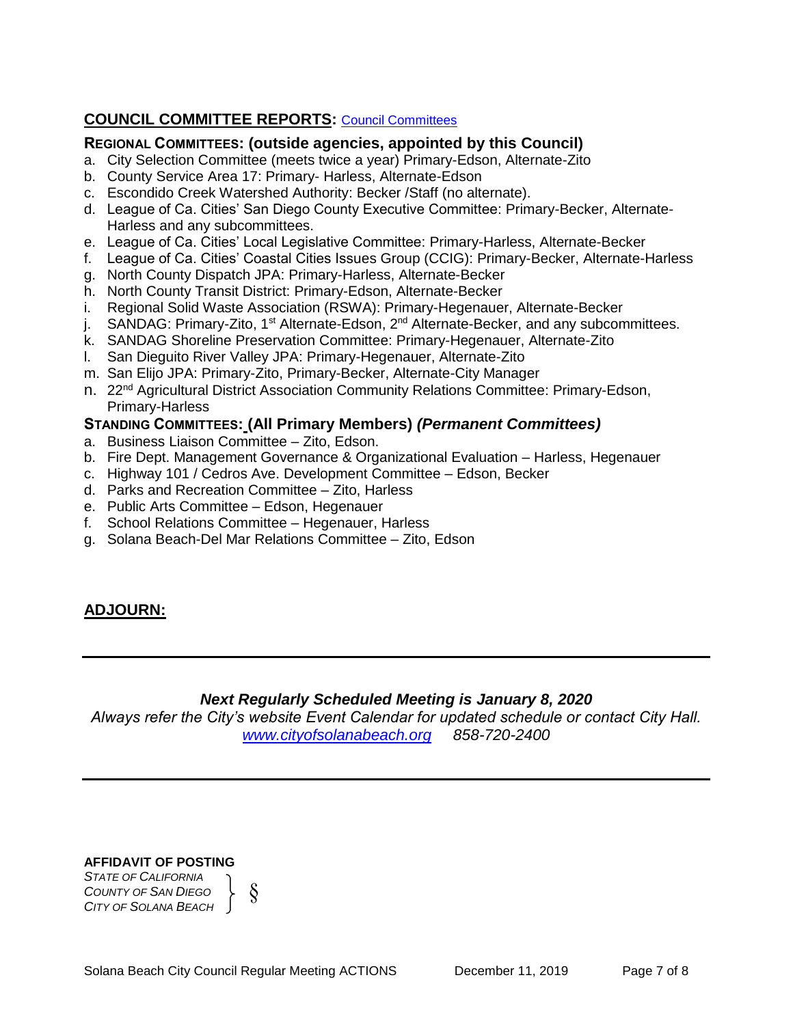# **COUNCIL COMMITTEE REPORTS:** [Council Committees](https://www.ci.solana-beach.ca.us/index.asp?SEC=584E1192-3850-46EA-B977-088AC3E81E0D&Type=B_BASIC)

## **REGIONAL COMMITTEES: (outside agencies, appointed by this Council)**

- a. City Selection Committee (meets twice a year) Primary-Edson, Alternate-Zito
- b. County Service Area 17: Primary- Harless, Alternate-Edson
- c. Escondido Creek Watershed Authority: Becker /Staff (no alternate).
- d. League of Ca. Cities' San Diego County Executive Committee: Primary-Becker, Alternate-Harless and any subcommittees.
- e. League of Ca. Cities' Local Legislative Committee: Primary-Harless, Alternate-Becker
- f. League of Ca. Cities' Coastal Cities Issues Group (CCIG): Primary-Becker, Alternate-Harless
- g. North County Dispatch JPA: Primary-Harless, Alternate-Becker
- h. North County Transit District: Primary-Edson, Alternate-Becker
- i. Regional Solid Waste Association (RSWA): Primary-Hegenauer, Alternate-Becker
- j. SANDAG: Primary-Zito, 1<sup>st</sup> Alternate-Edson, 2<sup>nd</sup> Alternate-Becker, and any subcommittees.
- k. SANDAG Shoreline Preservation Committee: Primary-Hegenauer, Alternate-Zito
- l. San Dieguito River Valley JPA: Primary-Hegenauer, Alternate-Zito
- m. San Elijo JPA: Primary-Zito, Primary-Becker, Alternate-City Manager
- n. 22<sup>nd</sup> Agricultural District Association Community Relations Committee: Primary-Edson, Primary-Harless

## **STANDING COMMITTEES: (All Primary Members)** *(Permanent Committees)*

- a. Business Liaison Committee Zito, Edson.
- b. Fire Dept. Management Governance & Organizational Evaluation Harless, Hegenauer
- c. Highway 101 / Cedros Ave. Development Committee Edson, Becker
- d. Parks and Recreation Committee Zito, Harless
- e. Public Arts Committee Edson, Hegenauer
- f. School Relations Committee Hegenauer, Harless
- g. Solana Beach-Del Mar Relations Committee Zito, Edson

# **ADJOURN:**

# *Next Regularly Scheduled Meeting is January 8, 2020*

*Always refer the City's website Event Calendar for updated schedule or contact City Hall. [www.cityofsolanabeach.org](http://www.cityofsolanabeach.org/) 858-720-2400*

#### **AFFIDAVIT OF POSTING**

*STATE OF CALIFORNIA COUNTY OF SAN DIEGO CITY OF SOLANA BEACH*

Solana Beach City Council Regular Meeting ACTIONS December 11, 2019 Page 7 of 8

§